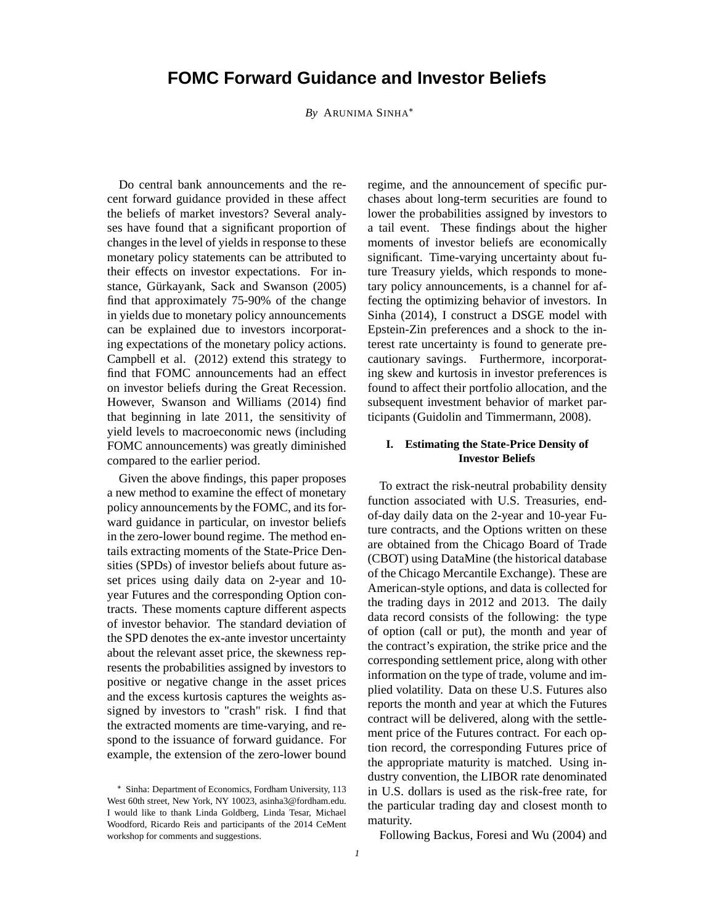# **FOMC Forward Guidance and Investor Beliefs**

*By* ARUNIMA SINHA

Do central bank announcements and the recent forward guidance provided in these affect the beliefs of market investors? Several analyses have found that a significant proportion of changes in the level of yields in response to these monetary policy statements can be attributed to their effects on investor expectations. For instance, Gürkayank, Sack and Swanson (2005) find that approximately 75-90% of the change in yields due to monetary policy announcements can be explained due to investors incorporating expectations of the monetary policy actions. Campbell et al. (2012) extend this strategy to find that FOMC announcements had an effect on investor beliefs during the Great Recession. However, Swanson and Williams (2014) find that beginning in late 2011, the sensitivity of yield levels to macroeconomic news (including FOMC announcements) was greatly diminished compared to the earlier period.

Given the above findings, this paper proposes a new method to examine the effect of monetary policy announcements by the FOMC, and its forward guidance in particular, on investor beliefs in the zero-lower bound regime. The method entails extracting moments of the State-Price Densities (SPDs) of investor beliefs about future asset prices using daily data on 2-year and 10 year Futures and the corresponding Option contracts. These moments capture different aspects of investor behavior. The standard deviation of the SPD denotes the ex-ante investor uncertainty about the relevant asset price, the skewness represents the probabilities assigned by investors to positive or negative change in the asset prices and the excess kurtosis captures the weights assigned by investors to "crash" risk. I find that the extracted moments are time-varying, and respond to the issuance of forward guidance. For example, the extension of the zero-lower bound regime, and the announcement of specific purchases about long-term securities are found to lower the probabilities assigned by investors to a tail event. These findings about the higher moments of investor beliefs are economically significant. Time-varying uncertainty about future Treasury yields, which responds to monetary policy announcements, is a channel for affecting the optimizing behavior of investors. In Sinha (2014), I construct a DSGE model with Epstein-Zin preferences and a shock to the interest rate uncertainty is found to generate precautionary savings. Furthermore, incorporating skew and kurtosis in investor preferences is found to affect their portfolio allocation, and the subsequent investment behavior of market participants (Guidolin and Timmermann, 2008).

## **I. Estimating the State-Price Density of Investor Beliefs**

To extract the risk-neutral probability density function associated with U.S. Treasuries, endof-day daily data on the 2-year and 10-year Future contracts, and the Options written on these are obtained from the Chicago Board of Trade (CBOT) using DataMine (the historical database of the Chicago Mercantile Exchange). These are American-style options, and data is collected for the trading days in 2012 and 2013. The daily data record consists of the following: the type of option (call or put), the month and year of the contract's expiration, the strike price and the corresponding settlement price, along with other information on the type of trade, volume and implied volatility. Data on these U.S. Futures also reports the month and year at which the Futures contract will be delivered, along with the settlement price of the Futures contract. For each option record, the corresponding Futures price of the appropriate maturity is matched. Using industry convention, the LIBOR rate denominated in U.S. dollars is used as the risk-free rate, for the particular trading day and closest month to maturity.

Following Backus, Foresi and Wu (2004) and

Sinha: Department of Economics, Fordham University, 113 West 60th street, New York, NY 10023, asinha3@fordham.edu. I would like to thank Linda Goldberg, Linda Tesar, Michael Woodford, Ricardo Reis and participants of the 2014 CeMent workshop for comments and suggestions.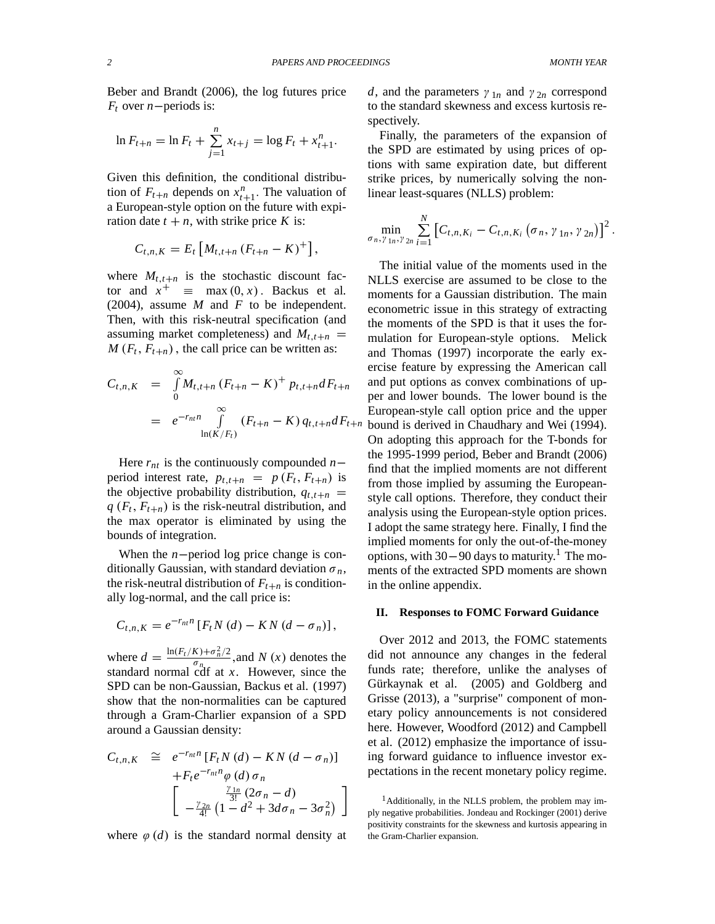Beber and Brandt (2006), the log futures price  $F_t$  over *n*-periods is:

$$
\ln F_{t+n} = \ln F_t + \sum_{j=1}^n x_{t+j} = \log F_t + x_{t+1}^n.
$$

Given this definition, the conditional distribution of  $F_{t+n}$  depends on  $x_{t+1}^n$ . The valuation of a European-style option on the future with expiration date  $t + n$ , with strike price *K* is:

$$
C_{t,n,K} = E_t \left[ M_{t,t+n} \left( F_{t+n} - K \right)^+ \right],
$$

where  $M_{t,t+n}$  is the stochastic discount factor and  $x^+ \equiv \max(0, x)$ . Backus et al. (2004), assume *M* and *F* to be independent. Then, with this risk-neutral specification (and assuming market completeness) and  $M_{t,t+n}$  $M(F_t, F_{t+n})$ , the call price can be written as:

$$
C_{t,n,K} = \int_{0}^{\infty} M_{t,t+n} (F_{t+n} - K)^{+} p_{t,t+n} dF_{t+n}
$$
  
=  $e^{-r_{nt}n} \int_{\ln(K/F_{t})}^{\infty} (F_{t+n} - K) q_{t,t+n} dF_{t+n}$ 

Here  $r_{nt}$  is the continuously compounded  $n$ period interest rate,  $p_{t,t+n} = p(F_t, F_{t+n})$  is the objective probability distribution,  $q_{t,t+n}$  $q(F_t, F_{t+n})$  is the risk-neutral distribution, and the max operator is eliminated by using the bounds of integration.

When the *n*-period log price change is conditionally Gaussian, with standard deviation  $\sigma_n$ , the risk-neutral distribution of  $F_{t+n}$  is conditionally log-normal, and the call price is:

$$
C_{t,n,K}=e^{-r_{nt}n}\left[F_tN\left(d\right)-KN\left(d-\sigma_n\right)\right],
$$

where  $d = \frac{\ln(F_t/K) + \sigma_n^2/2}{\sigma_n}$  $\frac{f(x)+f(x)}{\sigma_{n}}$ , and *N* (*x*) denotes the standard normal cdf at *x*. However, since the SPD can be non-Gaussian, Backus et al. (1997) show that the non-normalities can be captured through a Gram-Charlier expansion of a SPD around a Gaussian density:

$$
C_{t,n,K} \cong e^{-r_{nt}n} [F_t N(d) - KN(d - \sigma_n)]
$$
  
+  $F_t e^{-r_{nt}n} \varphi(d) \sigma_n$   

$$
\begin{bmatrix} \frac{\gamma_{1n}}{3!} (2\sigma_n - d) \\ -\frac{\gamma_{2n}}{4!} (1 - d^2 + 3d\sigma_n - 3\sigma_n^2) \end{bmatrix}
$$

where  $\varphi$  (*d*) is the standard normal density at

*d*, and the parameters  $\gamma_{1n}$  and  $\gamma_{2n}$  correspond to the standard skewness and excess kurtosis respectively.

Finally, the parameters of the expansion of the SPD are estimated by using prices of options with same expiration date, but different strike prices, by numerically solving the nonlinear least-squares (NLLS) problem:

$$
\min_{\sigma_n, \gamma_{1n}, \gamma_{2n}} \sum_{i=1}^N \left[ C_{t,n, K_i} - C_{t,n, K_i} \left( \sigma_n, \gamma_{1n}, \gamma_{2n} \right) \right]^2.
$$

The initial value of the moments used in the NLLS exercise are assumed to be close to the moments for a Gaussian distribution. The main econometric issue in this strategy of extracting the moments of the SPD is that it uses the formulation for European-style options. Melick and Thomas (1997) incorporate the early exercise feature by expressing the American call and put options as convex combinations of upper and lower bounds. The lower bound is the European-style call option price and the upper  $n$  bound is derived in Chaudhary and Wei (1994). On adopting this approach for the T-bonds for the 1995-1999 period, Beber and Brandt (2006) find that the implied moments are not different from those implied by assuming the Europeanstyle call options. Therefore, they conduct their analysis using the European-style option prices. I adopt the same strategy here. Finally, I find the implied moments for only the out-of-the-money options, with  $30-90$  days to maturity.<sup>1</sup> The moments of the extracted SPD moments are shown in the online appendix.

#### **II. Responses to FOMC Forward Guidance**

Over 2012 and 2013, the FOMC statements did not announce any changes in the federal funds rate; therefore, unlike the analyses of Gürkaynak et al. (2005) and Goldberg and Grisse (2013), a "surprise" component of monetary policy announcements is not considered here. However, Woodford (2012) and Campbell et al. (2012) emphasize the importance of issuing forward guidance to influence investor expectations in the recent monetary policy regime.

 $1$ Additionally, in the NLLS problem, the problem may imply negative probabilities. Jondeau and Rockinger (2001) derive positivity constraints for the skewness and kurtosis appearing in the Gram-Charlier expansion.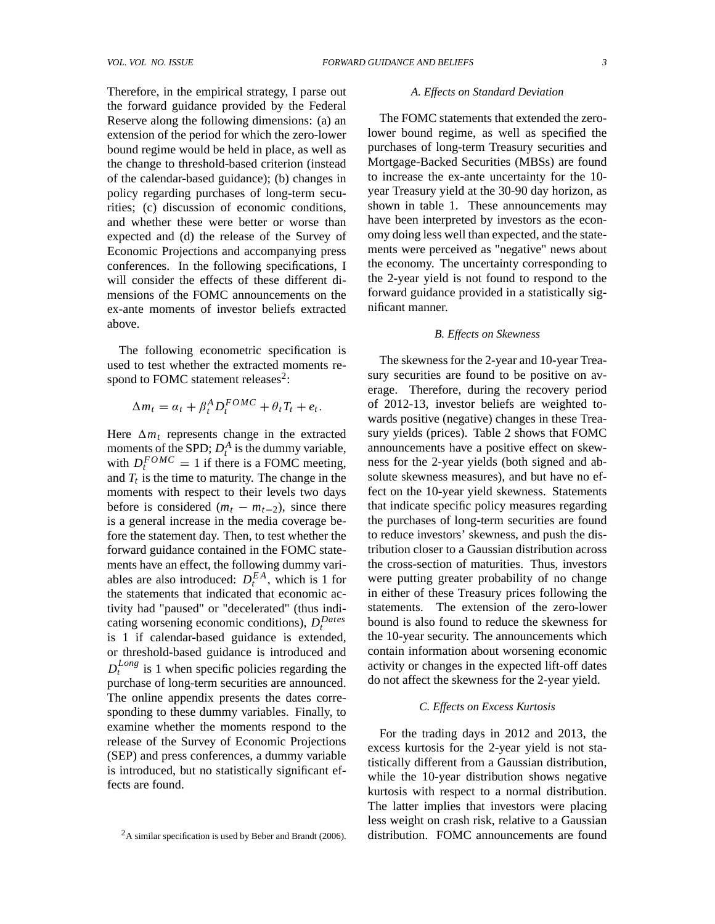Therefore, in the empirical strategy, I parse out the forward guidance provided by the Federal Reserve along the following dimensions: (a) an extension of the period for which the zero-lower bound regime would be held in place, as well as the change to threshold-based criterion (instead of the calendar-based guidance); (b) changes in policy regarding purchases of long-term securities; (c) discussion of economic conditions, and whether these were better or worse than expected and (d) the release of the Survey of Economic Projections and accompanying press conferences. In the following specifications, I will consider the effects of these different dimensions of the FOMC announcements on the ex-ante moments of investor beliefs extracted above.

The following econometric specification is used to test whether the extracted moments respond to FOMC statement releases $2$ :

$$
\Delta m_t = \alpha_t + \beta_t^A D_t^{FOMC} + \theta_t T_t + e_t.
$$

Here  $\Delta m_t$  represents change in the extracted moments of the SPD;  $D_t^A$  is the dummy variable, with  $D_t^{FOMC} = 1$  if there is a FOMC meeting, and  $T_t$  is the time to maturity. The change in the moments with respect to their levels two days before is considered  $(m_t - m_{t-2})$ , since there is a general increase in the media coverage before the statement day. Then, to test whether the forward guidance contained in the FOMC statements have an effect, the following dummy variables are also introduced:  $D_t^{EA}$ , which is 1 for the statements that indicated that economic activity had "paused" or "decelerated" (thus indicating worsening economic conditions),  $D_t^{Dates}$ is 1 if calendar-based guidance is extended, or threshold-based guidance is introduced and  $D_t^{Long}$  $t_t^{Long}$  is 1 when specific policies regarding the purchase of long-term securities are announced. The online appendix presents the dates corresponding to these dummy variables. Finally, to examine whether the moments respond to the release of the Survey of Economic Projections (SEP) and press conferences, a dummy variable is introduced, but no statistically significant effects are found.

#### *A. Effects on Standard Deviation*

The FOMC statements that extended the zerolower bound regime, as well as specified the purchases of long-term Treasury securities and Mortgage-Backed Securities (MBSs) are found to increase the ex-ante uncertainty for the 10 year Treasury yield at the 30-90 day horizon, as shown in table 1. These announcements may have been interpreted by investors as the economy doing less well than expected, and the statements were perceived as "negative" news about the economy. The uncertainty corresponding to the 2-year yield is not found to respond to the forward guidance provided in a statistically significant manner.

#### *B. Effects on Skewness*

The skewness for the 2-year and 10-year Treasury securities are found to be positive on average. Therefore, during the recovery period of 2012-13, investor beliefs are weighted towards positive (negative) changes in these Treasury yields (prices). Table 2 shows that FOMC announcements have a positive effect on skewness for the 2-year yields (both signed and absolute skewness measures), and but have no effect on the 10-year yield skewness. Statements that indicate specific policy measures regarding the purchases of long-term securities are found to reduce investors' skewness, and push the distribution closer to a Gaussian distribution across the cross-section of maturities. Thus, investors were putting greater probability of no change in either of these Treasury prices following the statements. The extension of the zero-lower bound is also found to reduce the skewness for the 10-year security. The announcements which contain information about worsening economic activity or changes in the expected lift-off dates do not affect the skewness for the 2-year yield.

#### *C. Effects on Excess Kurtosis*

For the trading days in 2012 and 2013, the excess kurtosis for the 2-year yield is not statistically different from a Gaussian distribution, while the 10-year distribution shows negative kurtosis with respect to a normal distribution. The latter implies that investors were placing less weight on crash risk, relative to a Gaussian distribution. FOMC announcements are found

 $2A$  similar specification is used by Beber and Brandt (2006).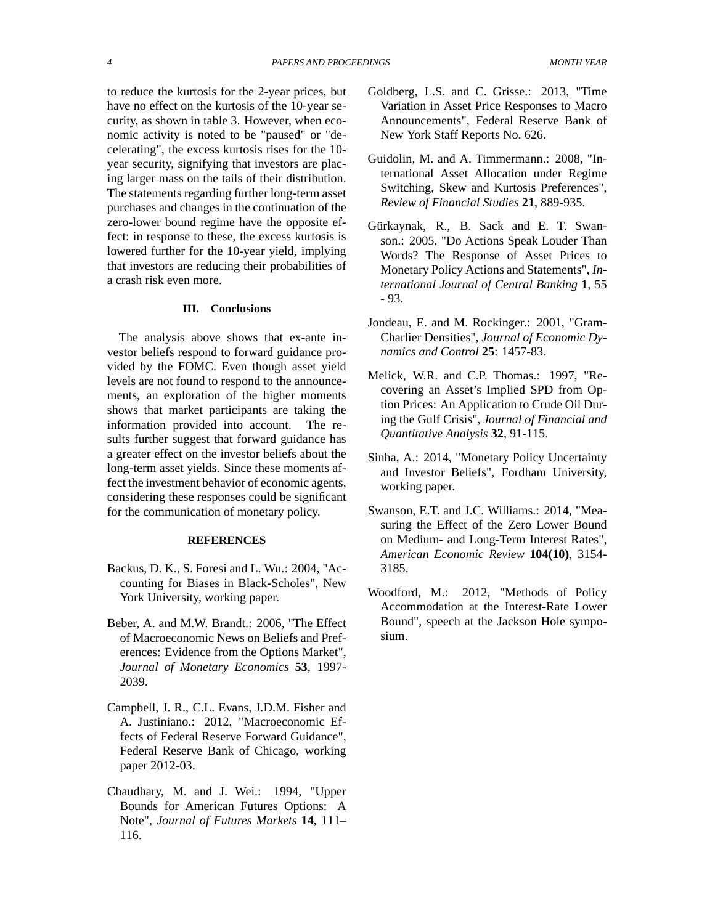to reduce the kurtosis for the 2-year prices, but have no effect on the kurtosis of the 10-year security, as shown in table 3. However, when economic activity is noted to be "paused" or "decelerating", the excess kurtosis rises for the 10 year security, signifying that investors are placing larger mass on the tails of their distribution. The statements regarding further long-term asset purchases and changes in the continuation of the zero-lower bound regime have the opposite effect: in response to these, the excess kurtosis is lowered further for the 10-year yield, implying that investors are reducing their probabilities of a crash risk even more.

### **III. Conclusions**

The analysis above shows that ex-ante investor beliefs respond to forward guidance provided by the FOMC. Even though asset yield levels are not found to respond to the announcements, an exploration of the higher moments shows that market participants are taking the information provided into account. The results further suggest that forward guidance has a greater effect on the investor beliefs about the long-term asset yields. Since these moments affect the investment behavior of economic agents, considering these responses could be significant for the communication of monetary policy.

## **REFERENCES**

- Backus, D. K., S. Foresi and L. Wu.: 2004, "Accounting for Biases in Black-Scholes", New York University, working paper.
- Beber, A. and M.W. Brandt.: 2006, "The Effect of Macroeconomic News on Beliefs and Preferences: Evidence from the Options Market", *Journal of Monetary Economics* **53**, 1997- 2039.
- Campbell, J. R., C.L. Evans, J.D.M. Fisher and A. Justiniano.: 2012, "Macroeconomic Effects of Federal Reserve Forward Guidance", Federal Reserve Bank of Chicago, working paper 2012-03.
- Chaudhary, M. and J. Wei.: 1994, "Upper Bounds for American Futures Options: A Note", *Journal of Futures Markets* **14**, 111– 116.
- Goldberg, L.S. and C. Grisse.: 2013, "Time Variation in Asset Price Responses to Macro Announcements", Federal Reserve Bank of New York Staff Reports No. 626.
- Guidolin, M. and A. Timmermann.: 2008, "International Asset Allocation under Regime Switching, Skew and Kurtosis Preferences", *Review of Financial Studies* **21**, 889-935.
- Gürkaynak, R., B. Sack and E. T. Swanson.: 2005, "Do Actions Speak Louder Than Words? The Response of Asset Prices to Monetary Policy Actions and Statements", *International Journal of Central Banking* **1**, 55 - 93.
- Jondeau, E. and M. Rockinger.: 2001, "Gram-Charlier Densities", *Journal of Economic Dynamics and Control* **25**: 1457-83.
- Melick, W.R. and C.P. Thomas.: 1997, "Recovering an Asset's Implied SPD from Option Prices: An Application to Crude Oil During the Gulf Crisis", *Journal of Financial and Quantitative Analysis* **32**, 91-115.
- Sinha, A.: 2014, "Monetary Policy Uncertainty and Investor Beliefs", Fordham University, working paper.
- Swanson, E.T. and J.C. Williams.: 2014, "Measuring the Effect of the Zero Lower Bound on Medium- and Long-Term Interest Rates", *American Economic Review* **104(10)**, 3154- 3185.
- Woodford, M.: 2012, "Methods of Policy Accommodation at the Interest-Rate Lower Bound", speech at the Jackson Hole symposium.